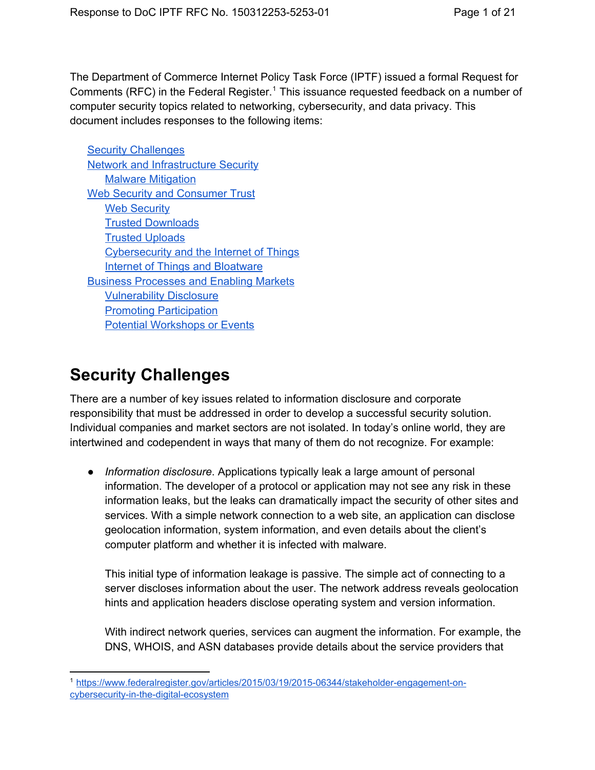The Department of Commerce Internet Policy Task Force (IPTF) issued a formal Request for Comments (RFC) in the Federal Register.<sup>1</sup> This issuance requested feedback on a number of computer security topics related to networking, cybersecurity, and data privacy. This document includes responses to the following items:

Security [Challenges](#page-0-0) **Network and [Infrastructure](#page-6-0) Security** Malware [Mitigation](#page-6-1) Web Security and [Consumer](#page-9-0) Trust **Web [Security](#page-9-1)** Trusted [Downloads](#page-10-0) Trusted [Uploads](#page-11-0) [Cybersecurity](#page-12-0) and the Internet of Things Internet of Things and [Bloatware](#page-13-0) Business [Processes](#page-14-0) and Enabling Markets [Vulnerability](#page-14-1) Disclosure Promoting [Participation](#page-17-0) Potential [Workshops](#page-18-0) or Events

# <span id="page-0-0"></span>**Security Challenges**

There are a number of key issues related to information disclosure and corporate responsibility that must be addressed in order to develop a successful security solution. Individual companies and market sectors are not isolated. In today's online world, they are intertwined and codependent in ways that many of them do not recognize. For example:

● *Information disclosure*. Applications typically leak a large amount of personal information. The developer of a protocol or application may not see any risk in these information leaks, but the leaks can dramatically impact the security of other sites and services. With a simple network connection to a web site, an application can disclose geolocation information, system information, and even details about the client's computer platform and whether it is infected with malware.

This initial type of information leakage is passive. The simple act of connecting to a server discloses information about the user. The network address reveals geolocation hints and application headers disclose operating system and version information.

With indirect network queries, services can augment the information. For example, the DNS, WHOIS, and ASN databases provide details about the service providers that

<sup>&</sup>lt;sup>1</sup> https://www.federalregister.gov/articles/2015/03/19/2015-06344/stakeholder-engagement-oncybersecurity-in-the-digital-ecosystem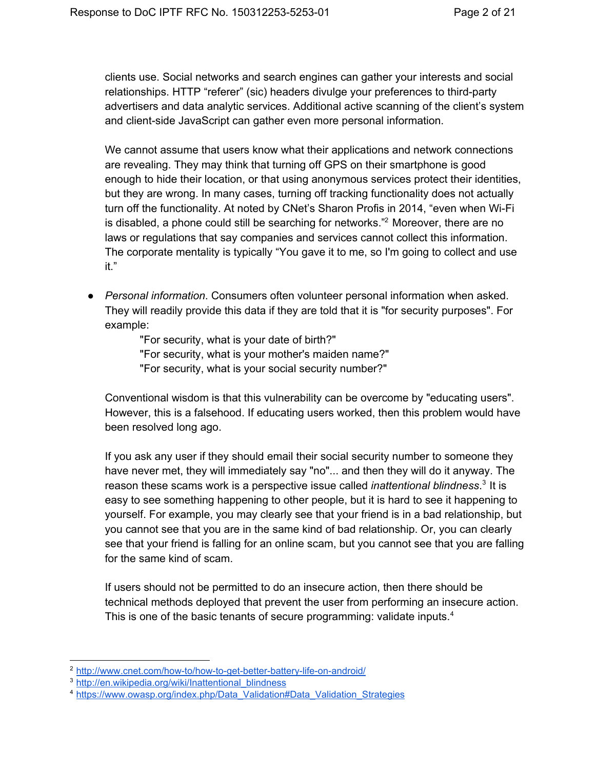clients use. Social networks and search engines can gather your interests and social relationships. HTTP "referer" (sic) headers divulge your preferences to third-party advertisers and data analytic services. Additional active scanning of the client's system and client-side JavaScript can gather even more personal information.

We cannot assume that users know what their applications and network connections are revealing. They may think that turning off GPS on their smartphone is good enough to hide their location, or that using anonymous services protect their identities, but they are wrong. In many cases, turning off tracking functionality does not actually turn off the functionality. At noted by CNet's Sharon Profis in 2014, "even when Wi-Fi is disabled, a phone could still be searching for networks."<sup>2</sup> Moreover, there are no laws or regulations that say companies and services cannot collect this information. The corporate mentality is typically "You gave it to me, so I'm going to collect and use it."

● *Personal information*. Consumers often volunteer personal information when asked. They will readily provide this data if they are told that it is "for security purposes". For example:

> "For security, what is your date of birth?" "For security, what is your mother's maiden name?" "For security, what is your social security number?"

Conventional wisdom is that this vulnerability can be overcome by "educating users". However, this is a falsehood. If educating users worked, then this problem would have been resolved long ago.

If you ask any user if they should email their social security number to someone they have never met, they will immediately say "no"... and then they will do it anyway. The reason these scams work is a perspective issue called *inattentional blindness*.<sup>3</sup> It is easy to see something happening to other people, but it is hard to see it happening to yourself. For example, you may clearly see that your friend is in a bad relationship, but you cannot see that you are in the same kind of bad relationship. Or, you can clearly see that your friend is falling for an online scam, but you cannot see that you are falling for the same kind of scam.

If users should not be permitted to do an insecure action, then there should be technical methods deployed that prevent the user from performing an insecure action. This is one of the basic tenants of secure programming: validate inputs.<sup>4</sup>

<sup>&</sup>lt;sup>2</sup> http://www.cnet.com/how-to/how-to-get-better-battery-life-on-android/

<sup>&</sup>lt;sup>3</sup> http://en.wikipedia.org/wiki/Inattentional blindness

<sup>4</sup> [https://www.owasp.org/index.php/Data\\_Validation#Data\\_Validation\\_Strategies](https://www.owasp.org/index.php/Data_Validation#Data_Validation_Strategies)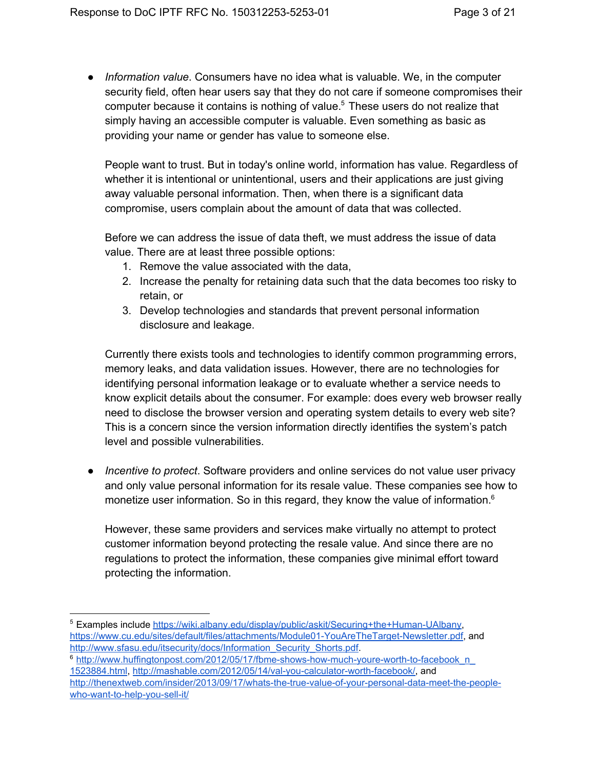● *Information value*. Consumers have no idea what is valuable. We, in the computer security field, often hear users say that they do not care if someone compromises their computer because it contains is nothing of value. $5$  These users do not realize that simply having an accessible computer is valuable. Even something as basic as providing your name or gender has value to someone else.

People want to trust. But in today's online world, information has value. Regardless of whether it is intentional or unintentional, users and their applications are just giving away valuable personal information. Then, when there is a significant data compromise, users complain about the amount of data that was collected.

Before we can address the issue of data theft, we must address the issue of data value. There are at least three possible options:

- 1. Remove the value associated with the data,
- 2. Increase the penalty for retaining data such that the data becomes too risky to retain, or
- 3. Develop technologies and standards that prevent personal information disclosure and leakage.

Currently there exists tools and technologies to identify common programming errors, memory leaks, and data validation issues. However, there are no technologies for identifying personal information leakage or to evaluate whether a service needs to know explicit details about the consumer. For example: does every web browser really need to disclose the browser version and operating system details to every web site? This is a concern since the version information directly identifies the system's patch level and possible vulnerabilities.

● *Incentive to protect*. Software providers and online services do not value user privacy and only value personal information for its resale value. These companies see how to monetize user information. So in this regard, they know the value of information.<sup>6</sup>

However, these same providers and services make virtually no attempt to protect customer information beyond protecting the resale value. And since there are no regulations to protect the information, these companies give minimal effort toward protecting the information.

<sup>&</sup>lt;sup>5</sup> Examples include https://wiki.albany.edu/display/public/askit/Securing+the+Human-UAlbany, https://www.cu.edu/sites/default/files/attachments/Module01-YouAreTheTarget-Newsletter.pdf, and [http://www.sfasu.edu/itsecurity/docs/Information\\_Security\\_Shorts.pdf.](http://www.sfasu.edu/itsecurity/docs/Information_Security_Shorts.pdf)

<sup>&</sup>lt;sup>6</sup> http://www.huffingtonpost.com/2012/05/17/fbme-shows-how-much-youre-worth-to-facebook\_n [1523884.html](http://www.huffingtonpost.com/2012/05/17/fbme-shows-how-much-youre-worth-to-facebook_n_1523884.html), http://mashable.com/2012/05/14/val-you-calculator-worth-facebook/, and http://thenextweb.com/insider/2013/09/17/whats-the-true-value-of-your-personal-data-meet-the-peoplewho-want-to-help-you-sell-it/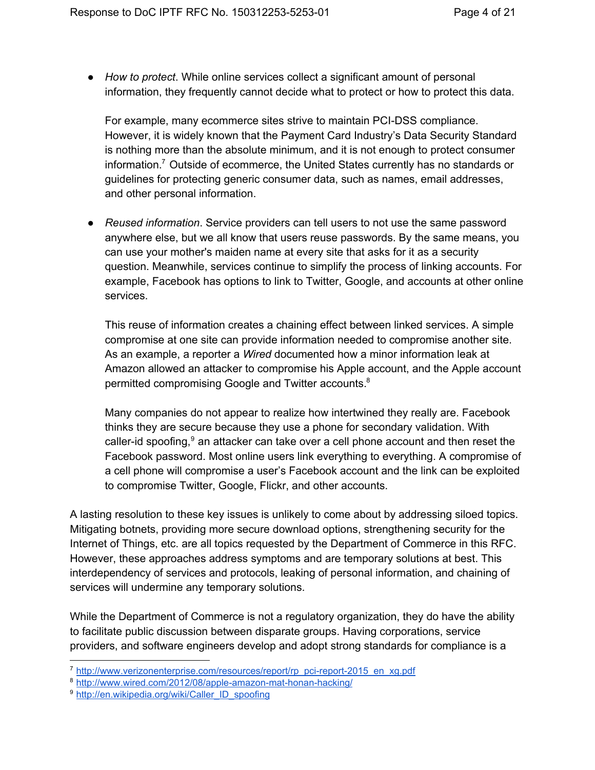● *How to protect*. While online services collect a significant amount of personal information, they frequently cannot decide what to protect or how to protect this data.

For example, many ecommerce sites strive to maintain PCI-DSS compliance. However, it is widely known that the Payment Card Industry's Data Security Standard is nothing more than the absolute minimum, and it is not enough to protect consumer information.<sup>7</sup> Outside of ecommerce, the United States currently has no standards or guidelines for protecting generic consumer data, such as names, email addresses, and other personal information.

● *Reused information*. Service providers can tell users to not use the same password anywhere else, but we all know that users reuse passwords. By the same means, you can use your mother's maiden name at every site that asks for it as a security question. Meanwhile, services continue to simplify the process of linking accounts. For example, Facebook has options to link to Twitter, Google, and accounts at other online services.

This reuse of information creates a chaining effect between linked services. A simple compromise at one site can provide information needed to compromise another site. As an example, a reporter a *Wired* documented how a minor information leak at Amazon allowed an attacker to compromise his Apple account, and the Apple account permitted compromising Google and Twitter accounts. 8

Many companies do not appear to realize how intertwined they really are. Facebook thinks they are secure because they use a phone for secondary validation. With caller-id spoofing, $9$  an attacker can take over a cell phone account and then reset the Facebook password. Most online users link everything to everything. A compromise of a cell phone will compromise a user's Facebook account and the link can be exploited to compromise Twitter, Google, Flickr, and other accounts.

A lasting resolution to these key issues is unlikely to come about by addressing siloed topics. Mitigating botnets, providing more secure download options, strengthening security for the Internet of Things, etc. are all topics requested by the Department of Commerce in this RFC. However, these approaches address symptoms and are temporary solutions at best. This interdependency of services and protocols, leaking of personal information, and chaining of services will undermine any temporary solutions.

While the Department of Commerce is not a regulatory organization, they do have the ability to facilitate public discussion between disparate groups. Having corporations, service providers, and software engineers develop and adopt strong standards for compliance is a

<sup>&</sup>lt;sup>7</sup> http://www.verizonenterprise.com/resources/report/rp\_pci-report-2015\_en\_xg.pdf

<sup>8</sup> http://www.wired.com/2012/08/apple-amazon-mat-honan-hacking/

<sup>&</sup>lt;sup>9</sup> [http://en.wikipedia.org/wiki/Caller\\_ID\\_spoofing](http://en.wikipedia.org/wiki/Caller_ID_spoofing)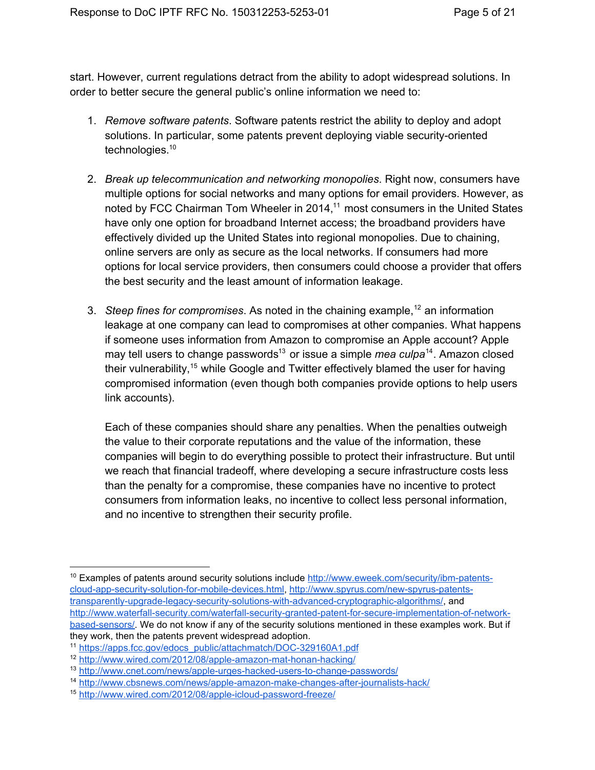start. However, current regulations detract from the ability to adopt widespread solutions. In order to better secure the general public's online information we need to:

- 1. *Remove software patents*. Software patents restrict the ability to deploy and adopt solutions. In particular, some patents prevent deploying viable security-oriented technologies.<sup>10</sup>
- 2. *Break up telecommunication and networking monopolies*. Right now, consumers have multiple options for social networks and many options for email providers. However, as noted by FCC Chairman Tom Wheeler in 2014,<sup>11</sup> most consumers in the United States have only one option for broadband Internet access; the broadband providers have effectively divided up the United States into regional monopolies. Due to chaining, online servers are only as secure as the local networks. If consumers had more options for local service providers, then consumers could choose a provider that offers the best security and the least amount of information leakage.
- 3. Steep fines for compromises. As noted in the chaining example,<sup>12</sup> an information leakage at one company can lead to compromises at other companies. What happens if someone uses information from Amazon to compromise an Apple account? Apple may tell users to change passwords<sup>13</sup> or issue a simple *mea culpa*<sup>14</sup>. Amazon closed their vulnerability,<sup>15</sup> while Google and Twitter effectively blamed the user for having compromised information (even though both companies provide options to help users link accounts).

Each of these companies should share any penalties. When the penalties outweigh the value to their corporate reputations and the value of the information, these companies will begin to do everything possible to protect their infrastructure. But until we reach that financial tradeoff, where developing a secure infrastructure costs less than the penalty for a compromise, these companies have no incentive to protect consumers from information leaks, no incentive to collect less personal information, and no incentive to strengthen their security profile.

 $10$  Examples of patents around security solutions include http://www.eweek.com/security/ibm-patentscloud-app-security-solution-for-mobile-devices.html, http://www.spyrus.com/new-spyrus-patentstransparently-upgrade-legacy-security-solutions-with-advanced-cryptographic-algorithms/, and http://www.waterfall-security.com/waterfall-security-granted-patent-for-secure-implementation-of-networkbased-sensors/. We do not know if any of the security solutions mentioned in these examples work. But if they work, then the patents prevent widespread adoption.

<sup>&</sup>lt;sup>11</sup> https://apps.fcc.gov/edocs\_public/attachmatch/DOC-329160A1.pdf

<sup>&</sup>lt;sup>12</sup> http://www.wired.com/2012/08/apple-amazon-mat-honan-hacking/

<sup>&</sup>lt;sup>13</sup> http://www.cnet.com/news/apple-urges-hacked-users-to-change-passwords/

<sup>&</sup>lt;sup>14</sup> http://www.cbsnews.com/news/apple-amazon-make-changes-after-journalists-hack/

<sup>&</sup>lt;sup>15</sup> http://www.wired.com/2012/08/apple-icloud-password-freeze/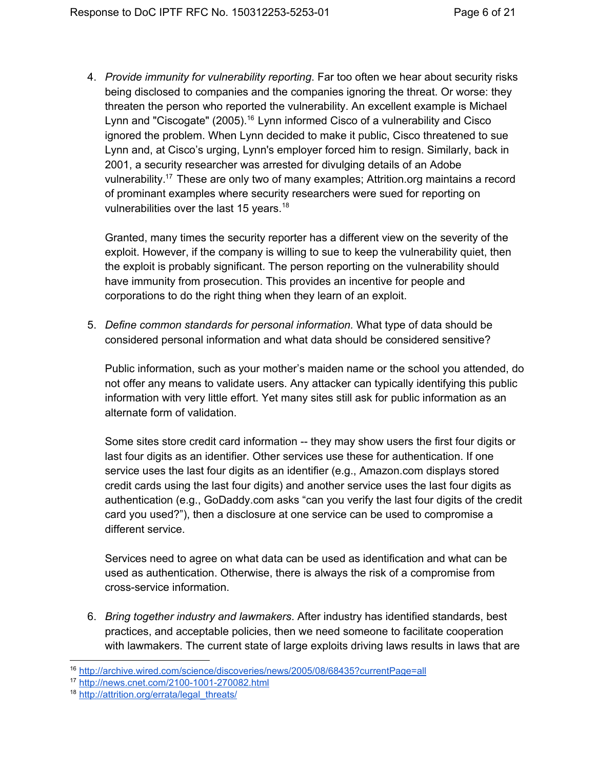4. *Provide immunity for vulnerability reporting*. Far too often we hear about security risks being disclosed to companies and the companies ignoring the threat. Or worse: they threaten the person who reported the vulnerability. An excellent example is Michael Lynn and "Ciscogate" (2005).<sup>16</sup> Lynn informed Cisco of a vulnerability and Cisco ignored the problem. When Lynn decided to make it public, Cisco threatened to sue Lynn and, at Cisco's urging, Lynn's employer forced him to resign. Similarly, back in 2001, a security researcher was arrested for divulging details of an Adobe vulnerability.<sup>17</sup> These are only two of many examples; Attrition.org maintains a record of prominant examples where security researchers were sued for reporting on vulnerabilities over the last 15 years.<sup>18</sup>

Granted, many times the security reporter has a different view on the severity of the exploit. However, if the company is willing to sue to keep the vulnerability quiet, then the exploit is probably significant. The person reporting on the vulnerability should have immunity from prosecution. This provides an incentive for people and corporations to do the right thing when they learn of an exploit.

5. *Define common standards for personal information.* What type of data should be considered personal information and what data should be considered sensitive?

Public information, such as your mother's maiden name or the school you attended, do not offer any means to validate users. Any attacker can typically identifying this public information with very little effort. Yet many sites still ask for public information as an alternate form of validation.

Some sites store credit card information -- they may show users the first four digits or last four digits as an identifier. Other services use these for authentication. If one service uses the last four digits as an identifier (e.g., Amazon.com displays stored credit cards using the last four digits) and another service uses the last four digits as authentication (e.g., GoDaddy.com asks "can you verify the last four digits of the credit card you used?"), then a disclosure at one service can be used to compromise a different service.

Services need to agree on what data can be used as identification and what can be used as authentication. Otherwise, there is always the risk of a compromise from crossservice information.

6. *Bring together industry and lawmakers*. After industry has identified standards, best practices, and acceptable policies, then we need someone to facilitate cooperation with lawmakers. The current state of large exploits driving laws results in laws that are

<sup>16</sup> <http://archive.wired.com/science/discoveries/news/2005/08/68435?currentPage=all>

<sup>17</sup> http://news.cnet.com/2100-1001-270082.html

<sup>18</sup> [http://attrition.org/errata/legal\\_threats/](http://attrition.org/errata/legal_threats/)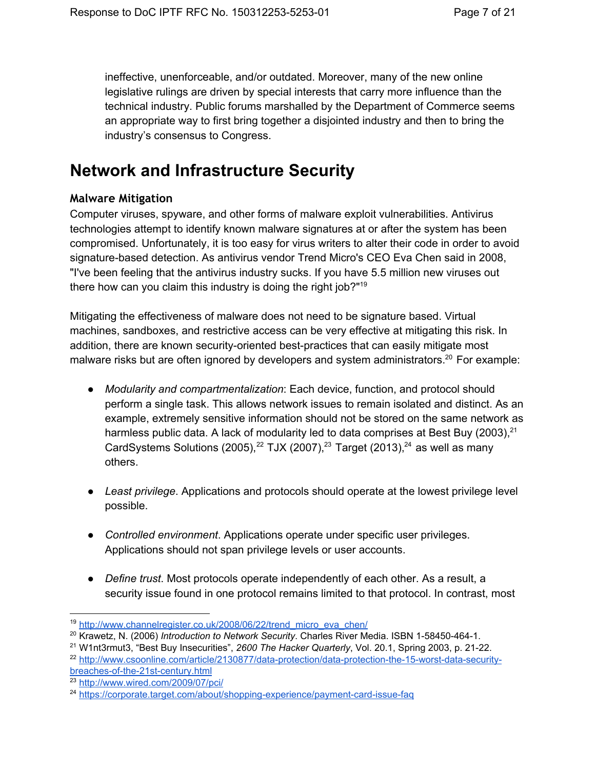ineffective, unenforceable, and/or outdated. Moreover, many of the new online legislative rulings are driven by special interests that carry more influence than the technical industry. Public forums marshalled by the Department of Commerce seems an appropriate way to first bring together a disjointed industry and then to bring the industry's consensus to Congress.

# <span id="page-6-0"></span>**Network and Infrastructure Security**

### <span id="page-6-1"></span>**Malware Mitigation**

Computer viruses, spyware, and other forms of malware exploit vulnerabilities. Antivirus technologies attempt to identify known malware signatures at or after the system has been compromised. Unfortunately, it is too easy for virus writers to alter their code in order to avoid signature-based detection. As antivirus vendor Trend Micro's CEO Eva Chen said in 2008, "I've been feeling that the antivirus industry sucks. If you have 5.5 million new viruses out there how can you claim this industry is doing the right job?"<sup>19</sup>

Mitigating the effectiveness of malware does not need to be signature based. Virtual machines, sandboxes, and restrictive access can be very effective at mitigating this risk. In addition, there are known security-oriented best-practices that can easily mitigate most malware risks but are often ignored by developers and system administrators.<sup>20</sup> For example:

- *Modularity and compartmentalization*: Each device, function, and protocol should perform a single task. This allows network issues to remain isolated and distinct. As an example, extremely sensitive information should not be stored on the same network as harmless public data. A lack of modularity led to data comprises at Best Buy (2003),<sup>21</sup> CardSystems Solutions (2005),<sup>22</sup> TJX (2007),<sup>23</sup> Target (2013),<sup>24</sup> as well as many others.
- *Least privilege*. Applications and protocols should operate at the lowest privilege level possible.
- *Controlled environment*. Applications operate under specific user privileges. Applications should not span privilege levels or user accounts.
- *Define trust*. Most protocols operate independently of each other. As a result, a security issue found in one protocol remains limited to that protocol. In contrast, most

<sup>&</sup>lt;sup>19</sup> [http://www.channelregister.co.uk/2008/06/22/trend\\_micro\\_eva\\_chen/](http://www.channelregister.co.uk/2008/06/22/trend_micro_eva_chen/)

<sup>&</sup>lt;sup>20</sup> Krawetz, N. (2006) *Introduction to Network Security*. Charles River Media. ISBN 1-58450-464-1.

<sup>&</sup>lt;sup>21</sup> W1nt3rmut3, "Best Buy Insecurities", 2600 The Hacker Quarterly, Vol. 20.1, Spring 2003, p. 21-22. <sup>22</sup> http://www.csoonline.com/article/2130877/data-protection/data-protection-the-15-worst-data-securitybreaches-of-the-21st-century.html

<sup>23</sup> <http://www.wired.com/2009/07/pci/>

<sup>&</sup>lt;sup>24</sup> https://corporate.target.com/about/shopping-experience/payment-card-issue-faq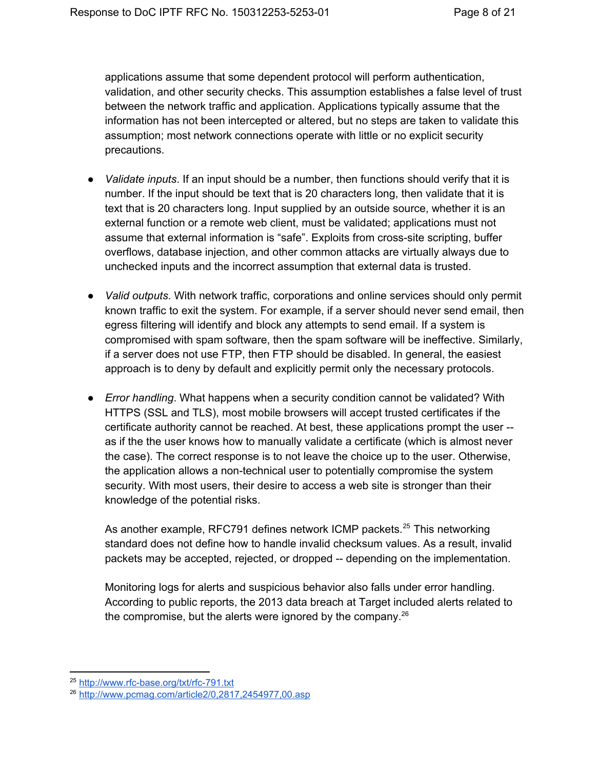applications assume that some dependent protocol will perform authentication, validation, and other security checks. This assumption establishes a false level of trust between the network traffic and application. Applications typically assume that the information has not been intercepted or altered, but no steps are taken to validate this assumption; most network connections operate with little or no explicit security precautions.

- *Validate inputs*. If an input should be a number, then functions should verify that it is number. If the input should be text that is 20 characters long, then validate that it is text that is 20 characters long. Input supplied by an outside source, whether it is an external function or a remote web client, must be validated; applications must not assume that external information is "safe". Exploits from crosssite scripting, buffer overflows, database injection, and other common attacks are virtually always due to unchecked inputs and the incorrect assumption that external data is trusted.
- *Valid outputs*. With network traffic, corporations and online services should only permit known traffic to exit the system. For example, if a server should never send email, then egress filtering will identify and block any attempts to send email. If a system is compromised with spam software, then the spam software will be ineffective. Similarly, if a server does not use FTP, then FTP should be disabled. In general, the easiest approach is to deny by default and explicitly permit only the necessary protocols.
- *Error handling*. What happens when a security condition cannot be validated? With HTTPS (SSL and TLS), most mobile browsers will accept trusted certificates if the certificate authority cannot be reached. At best, these applications prompt the user as if the the user knows how to manually validate a certificate (which is almost never the case). The correct response is to not leave the choice up to the user. Otherwise, the application allows a non-technical user to potentially compromise the system security. With most users, their desire to access a web site is stronger than their knowledge of the potential risks.

As another example, RFC791 defines network ICMP packets.<sup>25</sup> This networking standard does not define how to handle invalid checksum values. As a result, invalid packets may be accepted, rejected, or dropped -- depending on the implementation.

Monitoring logs for alerts and suspicious behavior also falls under error handling. According to public reports, the 2013 data breach at Target included alerts related to the compromise, but the alerts were ignored by the company.<sup>26</sup>

<sup>&</sup>lt;sup>25</sup> http://www.rfc-base.org/txt/rfc-791.txt

<sup>26</sup> <http://www.pcmag.com/article2/0,2817,2454977,00.asp>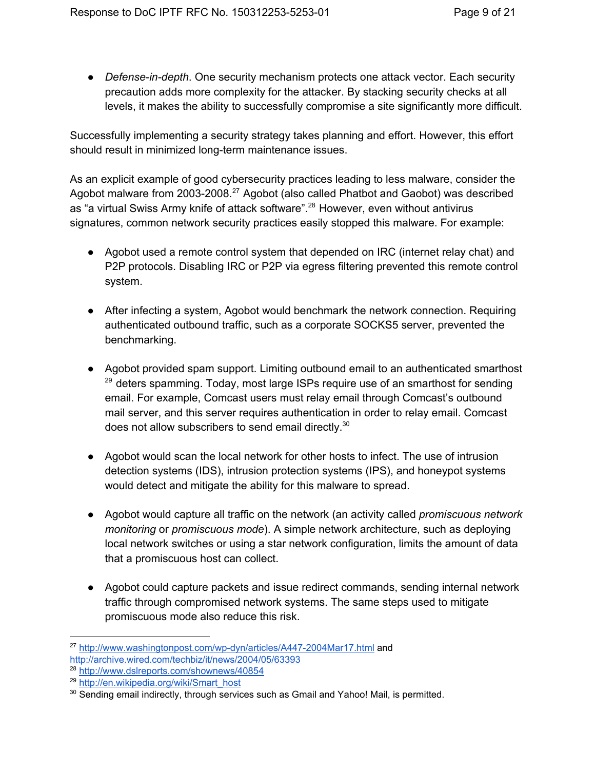• *Defense-in-depth*. One security mechanism protects one attack vector. Each security precaution adds more complexity for the attacker. By stacking security checks at all levels, it makes the ability to successfully compromise a site significantly more difficult.

Successfully implementing a security strategy takes planning and effort. However, this effort should result in minimized long-term maintenance issues.

As an explicit example of good cybersecurity practices leading to less malware, consider the Agobot malware from 2003-2008.<sup>27</sup> Agobot (also called Phatbot and Gaobot) was described as "a virtual Swiss Army knife of attack software".<sup>28</sup> However, even without antivirus signatures, common network security practices easily stopped this malware. For example:

- Agobot used a remote control system that depended on IRC (internet relay chat) and P2P protocols. Disabling IRC or P2P via egress filtering prevented this remote control system.
- After infecting a system, Agobot would benchmark the network connection. Requiring authenticated outbound traffic, such as a corporate SOCKS5 server, prevented the benchmarking.
- Agobot provided spam support. Limiting outbound email to an authenticated smarthost  $29$  deters spamming. Today, most large ISPs require use of an smarthost for sending email. For example, Comcast users must relay email through Comcast's outbound mail server, and this server requires authentication in order to relay email. Comcast does not allow subscribers to send email directly.<sup>30</sup>
- Agobot would scan the local network for other hosts to infect. The use of intrusion detection systems (IDS), intrusion protection systems (IPS), and honeypot systems would detect and mitigate the ability for this malware to spread.
- Agobot would capture all traffic on the network (an activity called *promiscuous network monitoring* or *promiscuous mode*). A simple network architecture, such as deploying local network switches or using a star network configuration, limits the amount of data that a promiscuous host can collect.
- Agobot could capture packets and issue redirect commands, sending internal network traffic through compromised network systems. The same steps used to mitigate promiscuous mode also reduce this risk.

<sup>&</sup>lt;sup>27</sup> http://www.washingtonpost.com/wp-dyn/articles/A447-2004Mar17.html and <http://archive.wired.com/techbiz/it/news/2004/05/63393>

<sup>28</sup> <http://www.dslreports.com/shownews/40854>

<sup>&</sup>lt;sup>29</sup> [http://en.wikipedia.org/wiki/Smart\\_host](http://en.wikipedia.org/wiki/Smart_host)

<sup>&</sup>lt;sup>30</sup> Sending email indirectly, through services such as Gmail and Yahoo! Mail, is permitted.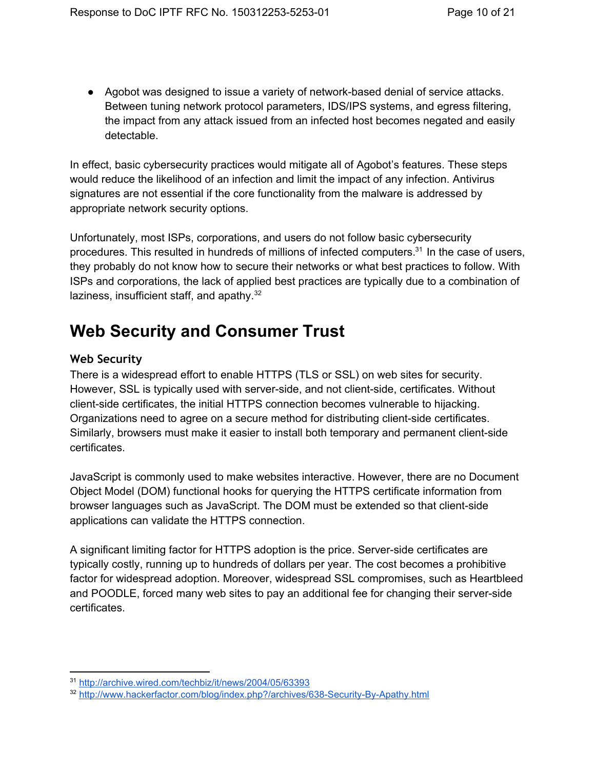• Agobot was designed to issue a variety of network-based denial of service attacks. Between tuning network protocol parameters, IDS/IPS systems, and egress filtering, the impact from any attack issued from an infected host becomes negated and easily detectable.

In effect, basic cybersecurity practices would mitigate all of Agobot's features. These steps would reduce the likelihood of an infection and limit the impact of any infection. Antivirus signatures are not essential if the core functionality from the malware is addressed by appropriate network security options.

Unfortunately, most ISPs, corporations, and users do not follow basic cybersecurity procedures. This resulted in hundreds of millions of infected computers. $31$  In the case of users, they probably do not know how to secure their networks or what best practices to follow. With ISPs and corporations, the lack of applied best practices are typically due to a combination of laziness, insufficient staff, and apathy.<sup>32</sup>

# <span id="page-9-0"></span>**Web Security and Consumer Trust**

### <span id="page-9-1"></span>**Web Security**

There is a widespread effort to enable HTTPS (TLS or SSL) on web sites for security. However, SSL is typically used with server-side, and not client-side, certificates. Without client-side certificates, the initial HTTPS connection becomes vulnerable to hijacking. Organizations need to agree on a secure method for distributing client-side certificates. Similarly, browsers must make it easier to install both temporary and permanent client-side certificates.

JavaScript is commonly used to make websites interactive. However, there are no Document Object Model (DOM) functional hooks for querying the HTTPS certificate information from browser languages such as JavaScript. The DOM must be extended so that client-side applications can validate the HTTPS connection.

A significant limiting factor for HTTPS adoption is the price. Serverside certificates are typically costly, running up to hundreds of dollars per year. The cost becomes a prohibitive factor for widespread adoption. Moreover, widespread SSL compromises, such as Heartbleed and POODLE, forced many web sites to pay an additional fee for changing their server-side certificates.

<sup>31</sup> <http://archive.wired.com/techbiz/it/news/2004/05/63393>

<sup>32</sup> http://www.hackerfactor.com/blog/index.php?/archives/638-Security-By-Apathy.html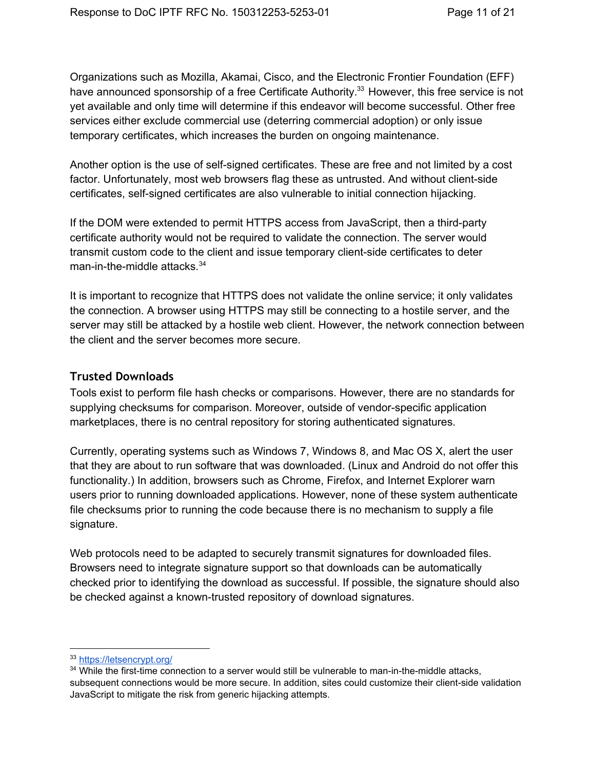Organizations such as Mozilla, Akamai, Cisco, and the Electronic Frontier Foundation (EFF) have announced sponsorship of a free Certificate Authority.<sup>33</sup> However, this free service is not yet available and only time will determine if this endeavor will become successful. Other free services either exclude commercial use (deterring commercial adoption) or only issue temporary certificates, which increases the burden on ongoing maintenance.

Another option is the use of self-signed certificates. These are free and not limited by a cost factor. Unfortunately, most web browsers flag these as untrusted. And without client-side certificates, self-signed certificates are also vulnerable to initial connection hijacking.

If the DOM were extended to permit HTTPS access from JavaScript, then a third-party certificate authority would not be required to validate the connection. The server would transmit custom code to the client and issue temporary client-side certificates to deter man-in-the-middle attacks.<sup>34</sup>

It is important to recognize that HTTPS does not validate the online service; it only validates the connection. A browser using HTTPS may still be connecting to a hostile server, and the server may still be attacked by a hostile web client. However, the network connection between the client and the server becomes more secure.

#### <span id="page-10-0"></span>**Trusted Downloads**

Tools exist to perform file hash checks or comparisons. However, there are no standards for supplying checksums for comparison. Moreover, outside of vendor-specific application marketplaces, there is no central repository for storing authenticated signatures.

Currently, operating systems such as Windows 7, Windows 8, and Mac OS X, alert the user that they are about to run software that was downloaded. (Linux and Android do not offer this functionality.) In addition, browsers such as Chrome, Firefox, and Internet Explorer warn users prior to running downloaded applications. However, none of these system authenticate file checksums prior to running the code because there is no mechanism to supply a file signature.

Web protocols need to be adapted to securely transmit signatures for downloaded files. Browsers need to integrate signature support so that downloads can be automatically checked prior to identifying the download as successful. If possible, the signature should also be checked against a known-trusted repository of download signatures.

<sup>33</sup> <https://letsencrypt.org/>

<sup>&</sup>lt;sup>34</sup> While the first-time connection to a server would still be vulnerable to man-in-the-middle attacks, subsequent connections would be more secure. In addition, sites could customize their client-side validation JavaScript to mitigate the risk from generic hijacking attempts.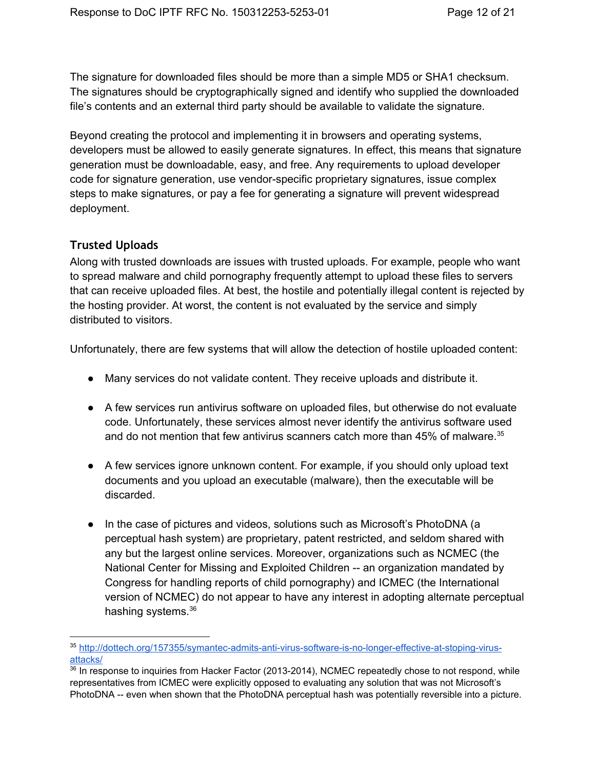The signature for downloaded files should be more than a simple MD5 or SHA1 checksum. The signatures should be cryptographically signed and identify who supplied the downloaded file's contents and an external third party should be available to validate the signature.

Beyond creating the protocol and implementing it in browsers and operating systems, developers must be allowed to easily generate signatures. In effect, this means that signature generation must be downloadable, easy, and free. Any requirements to upload developer code for signature generation, use vendor-specific proprietary signatures, issue complex steps to make signatures, or pay a fee for generating a signature will prevent widespread deployment.

#### <span id="page-11-0"></span>**Trusted Uploads**

Along with trusted downloads are issues with trusted uploads. For example, people who want to spread malware and child pornography frequently attempt to upload these files to servers that can receive uploaded files. At best, the hostile and potentially illegal content is rejected by the hosting provider. At worst, the content is not evaluated by the service and simply distributed to visitors.

Unfortunately, there are few systems that will allow the detection of hostile uploaded content:

- Many services do not validate content. They receive uploads and distribute it.
- A few services run antivirus software on uploaded files, but otherwise do not evaluate code. Unfortunately, these services almost never identify the antivirus software used and do not mention that few antivirus scanners catch more than 45% of malware. 35
- A few services ignore unknown content. For example, if you should only upload text documents and you upload an executable (malware), then the executable will be discarded.
- In the case of pictures and videos, solutions such as Microsoft's PhotoDNA (a perceptual hash system) are proprietary, patent restricted, and seldom shared with any but the largest online services. Moreover, organizations such as NCMEC (the National Center for Missing and Exploited Children -- an organization mandated by Congress for handling reports of child pornography) and ICMEC (the International version of NCMEC) do not appear to have any interest in adopting alternate perceptual hashing systems.<sup>36</sup>

<sup>35</sup> http://dottech.org/157355/symantec-admits-anti-virus-software-is-no-longer-effective-at-stoping-virus[attacks/](http://dottech.org/157355/symantec-admits-anti-virus-software-is-no-longer-effective-at-stoping-virus-attacks/)

<sup>&</sup>lt;sup>36</sup> In response to inquiries from Hacker Factor (2013-2014), NCMEC repeatedly chose to not respond, while representatives from ICMEC were explicitly opposed to evaluating any solution that was not Microsoft's PhotoDNA -- even when shown that the PhotoDNA perceptual hash was potentially reversible into a picture.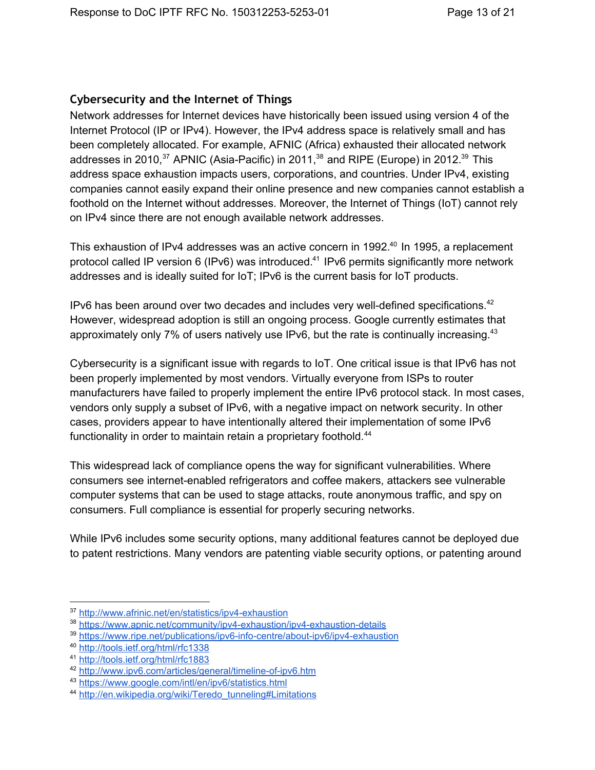### <span id="page-12-0"></span>**Cybersecurity and the Internet of Things**

Network addresses for Internet devices have historically been issued using version 4 of the Internet Protocol (IP or IPv4). However, the IPv4 address space is relatively small and has been completely allocated. For example, AFNIC (Africa) exhausted their allocated network addresses in 2010,<sup>37</sup> APNIC (Asia-Pacific) in 2011,<sup>38</sup> and RIPE (Europe) in 2012.<sup>39</sup> This address space exhaustion impacts users, corporations, and countries. Under IPv4, existing companies cannot easily expand their online presence and new companies cannot establish a foothold on the Internet without addresses. Moreover, the Internet of Things (IoT) cannot rely on IPv4 since there are not enough available network addresses.

This exhaustion of IPv4 addresses was an active concern in 1992.<sup>40</sup> In 1995, a replacement protocol called IP version 6 (IPv6) was introduced.<sup>41</sup> IPv6 permits significantly more network addresses and is ideally suited for IoT; IPv6 is the current basis for IoT products.

IPv6 has been around over two decades and includes very well-defined specifications. $42$ However, widespread adoption is still an ongoing process. Google currently estimates that approximately only 7% of users natively use IPv6, but the rate is continually increasing.<sup>43</sup>

Cybersecurity is a significant issue with regards to IoT. One critical issue is that IPv6 has not been properly implemented by most vendors. Virtually everyone from ISPs to router manufacturers have failed to properly implement the entire IPv6 protocol stack. In most cases, vendors only supply a subset of IPv6, with a negative impact on network security. In other cases, providers appear to have intentionally altered their implementation of some IPv6 functionality in order to maintain retain a proprietary foothold.<sup>44</sup>

This widespread lack of compliance opens the way for significant vulnerabilities. Where consumers see internet-enabled refrigerators and coffee makers, attackers see vulnerable computer systems that can be used to stage attacks, route anonymous traffic, and spy on consumers. Full compliance is essential for properly securing networks.

While IPv6 includes some security options, many additional features cannot be deployed due to patent restrictions. Many vendors are patenting viable security options, or patenting around

<sup>37</sup> http://www.afrinic.net/en/statistics/ipv4-exhaustion

<sup>&</sup>lt;sup>38</sup> https://www.apnic.net/community/ipv4-exhaustion/ipv4-exhaustion-details

<sup>&</sup>lt;sup>39</sup> https://www.ripe.net/publications/ipv6-info-centre/about-ipv6/ipv4-exhaustion

<sup>40</sup> <http://tools.ietf.org/html/rfc1338>

<sup>41</sup> <http://tools.ietf.org/html/rfc1883>

<sup>&</sup>lt;sup>42</sup> http://www.ipv6.com/articles/general/timeline-of-ipv6.htm

<sup>43</sup> <https://www.google.com/intl/en/ipv6/statistics.html>

<sup>44</sup> [http://en.wikipedia.org/wiki/Teredo\\_tunneling#Limitations](http://en.wikipedia.org/wiki/Teredo_tunneling#Limitations)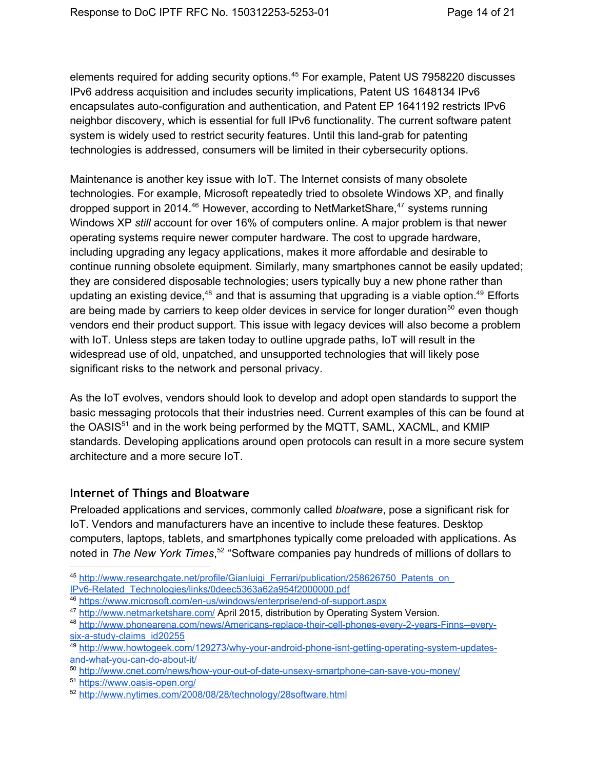elements required for adding security options.<sup>45</sup> For example, Patent US 7958220 discusses IPv6 address acquisition and includes security implications, Patent US 1648134 IPv6 encapsulates auto-configuration and authentication, and Patent EP 1641192 restricts IPv6 neighbor discovery, which is essential for full IPv6 functionality. The current software patent system is widely used to restrict security features. Until this land-grab for patenting technologies is addressed, consumers will be limited in their cybersecurity options.

Maintenance is another key issue with IoT. The Internet consists of many obsolete technologies. For example, Microsoft repeatedly tried to obsolete Windows XP, and finally dropped support in 2014.<sup>46</sup> However, according to NetMarketShare,<sup>47</sup> systems running Windows XP *still* account for over 16% of computers online. A major problem is that newer operating systems require newer computer hardware. The cost to upgrade hardware, including upgrading any legacy applications, makes it more affordable and desirable to continue running obsolete equipment. Similarly, many smartphones cannot be easily updated; they are considered disposable technologies; users typically buy a new phone rather than updating an existing device,<sup>48</sup> and that is assuming that upgrading is a viable option.<sup>49</sup> Efforts are being made by carriers to keep older devices in service for longer duration<sup>50</sup> even though vendors end their product support. This issue with legacy devices will also become a problem with IoT. Unless steps are taken today to outline upgrade paths, IoT will result in the widespread use of old, unpatched, and unsupported technologies that will likely pose significant risks to the network and personal privacy.

As the IoT evolves, vendors should look to develop and adopt open standards to support the basic messaging protocols that their industries need. Current examples of this can be found at the OASIS $51$  and in the work being performed by the MQTT, SAML, XACML, and KMIP standards. Developing applications around open protocols can result in a more secure system architecture and a more secure IoT.

### <span id="page-13-0"></span>**Internet of Things and Bloatware**

Preloaded applications and services, commonly called *bloatware*, pose a significant risk for IoT. Vendors and manufacturers have an incentive to include these features. Desktop computers, laptops, tablets, and smartphones typically come preloaded with applications. As noted in The New York Times,<sup>52</sup> "Software companies pay hundreds of millions of dollars to

<sup>&</sup>lt;sup>45</sup> http://www.researchgate.net/profile/Gianluigi\_Ferrari/publication/258626750\_Patents\_on IPv6-Related\_Technologies/links/0deec5363a62a954f2000000.pdf

<sup>&</sup>lt;sup>46</sup> https://www.microsoft.com/en-us/windows/enterprise/end-of-support.aspx

<sup>&</sup>lt;sup>47</sup> <http://www.netmarketshare.com/> April 2015, distribution by Operating System Version.

<sup>48</sup> http://www.phonearena.com/news/Americans-replace-their-cell-phones-every-2-vears-Finns--everysix-a-study-claims\_id20255

<sup>49</sup> http://www.howtogeek.com/129273/why-your-android-phone-isnt-getting-operating-system-updatesand-what-you-can-do-about-it/

<sup>50</sup> http://www.cnet.com/news/how-your-out-of-date-unsexy-smartphone-can-save-you-money/

<sup>51</sup> https://www.oasis-open.org/

<sup>52</sup> <http://www.nytimes.com/2008/08/28/technology/28software.html>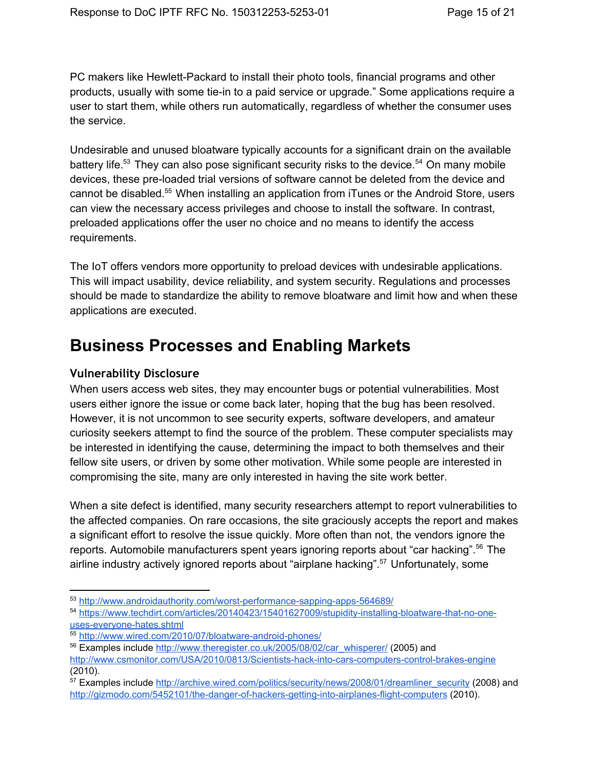PC makers like Hewlett-Packard to install their photo tools, financial programs and other products, usually with some tie-in to a paid service or upgrade." Some applications require a user to start them, while others run automatically, regardless of whether the consumer uses the service.

Undesirable and unused bloatware typically accounts for a significant drain on the available battery life.<sup>53</sup> They can also pose significant security risks to the device.<sup>54</sup> On many mobile devices, these pre-loaded trial versions of software cannot be deleted from the device and cannot be disabled.<sup>55</sup> When installing an application from iTunes or the Android Store, users can view the necessary access privileges and choose to install the software. In contrast, preloaded applications offer the user no choice and no means to identify the access requirements.

The IoT offers vendors more opportunity to preload devices with undesirable applications. This will impact usability, device reliability, and system security. Regulations and processes should be made to standardize the ability to remove bloatware and limit how and when these applications are executed.

# <span id="page-14-0"></span>**Business Processes and Enabling Markets**

### <span id="page-14-1"></span>**Vulnerability Disclosure**

When users access web sites, they may encounter bugs or potential vulnerabilities. Most users either ignore the issue or come back later, hoping that the bug has been resolved. However, it is not uncommon to see security experts, software developers, and amateur curiosity seekers attempt to find the source of the problem. These computer specialists may be interested in identifying the cause, determining the impact to both themselves and their fellow site users, or driven by some other motivation. While some people are interested in compromising the site, many are only interested in having the site work better.

When a site defect is identified, many security researchers attempt to report vulnerabilities to the affected companies. On rare occasions, the site graciously accepts the report and makes a significant effort to resolve the issue quickly. More often than not, the vendors ignore the reports. Automobile manufacturers spent years ignoring reports about "car hacking".<sup>56</sup> The airline industry actively ignored reports about "airplane hacking".<sup>57</sup> Unfortunately, some

<sup>53</sup> http://www.androidauthority.com/worst-performance-sapping-apps-564689/

<sup>54</sup> https://www.techdirt.com/articles/20140423/15401627009/stupidity-installing-bloatware-that-no-oneuses-everyone-hates.shtml

<sup>55</sup> http://www.wired.com/2010/07/bloatware-android-phones/

<sup>&</sup>lt;sup>56</sup> Examples include [http://www.theregister.co.uk/2005/08/02/car\\_whisperer/](http://www.theregister.co.uk/2005/08/02/car_whisperer/) (2005) and

http://www.csmonitor.com/USA/2010/0813/Scientists-hack-into-cars-computers-control-brakes-engine (2010).

<sup>&</sup>lt;sup>57</sup> Examples include [http://archive.wired.com/politics/security/news/2008/01/dreamliner\\_security](http://archive.wired.com/politics/security/news/2008/01/dreamliner_security) (2008) and http://gizmodo.com/5452101/the-danger-of-hackers-getting-into-airplanes-flight-computers (2010).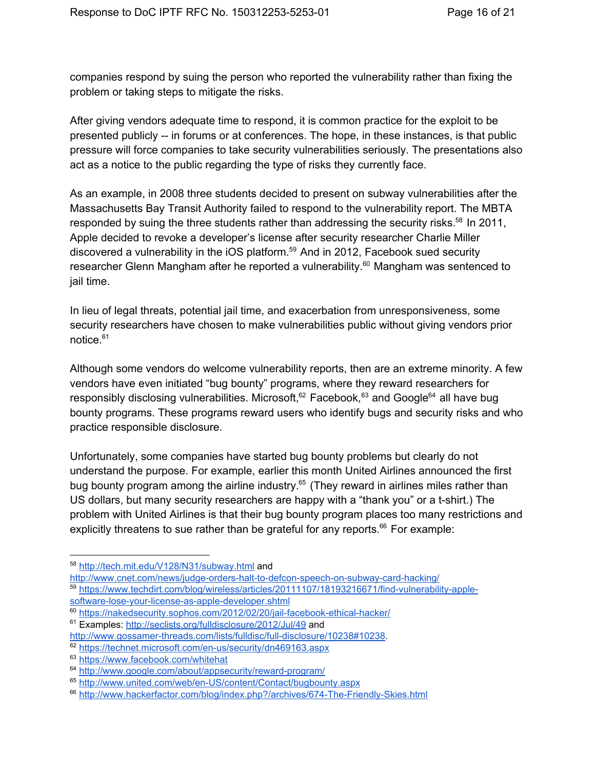companies respond by suing the person who reported the vulnerability rather than fixing the problem or taking steps to mitigate the risks.

After giving vendors adequate time to respond, it is common practice for the exploit to be presented publicly -- in forums or at conferences. The hope, in these instances, is that public pressure will force companies to take security vulnerabilities seriously. The presentations also act as a notice to the public regarding the type of risks they currently face.

As an example, in 2008 three students decided to present on subway vulnerabilities after the Massachusetts Bay Transit Authority failed to respond to the vulnerability report. The MBTA responded by suing the three students rather than addressing the security risks. $58$  In 2011, Apple decided to revoke a developer's license after security researcher Charlie Miller discovered a vulnerability in the iOS platform. $59$  And in 2012, Facebook sued security researcher Glenn Mangham after he reported a vulnerability.<sup>60</sup> Mangham was sentenced to jail time.

In lieu of legal threats, potential jail time, and exacerbation from unresponsiveness, some security researchers have chosen to make vulnerabilities public without giving vendors prior notice. 61

Although some vendors do welcome vulnerability reports, then are an extreme minority. A few vendors have even initiated "bug bounty" programs, where they reward researchers for responsibly disclosing vulnerabilities. Microsoft,<sup>62</sup> Facebook,<sup>63</sup> and Google<sup>64</sup> all have bug bounty programs. These programs reward users who identify bugs and security risks and who practice responsible disclosure.

Unfortunately, some companies have started bug bounty problems but clearly do not understand the purpose. For example, earlier this month United Airlines announced the first bug bounty program among the airline industry.<sup>65</sup> (They reward in airlines miles rather than US dollars, but many security researchers are happy with a "thank you" or a t-shirt.) The problem with United Airlines is that their bug bounty program places too many restrictions and explicitly threatens to sue rather than be grateful for any reports. $^{66}$  For example:

<sup>58</sup> <http://tech.mit.edu/V128/N31/subway.html> and

http://www.cnet.com/news/judge-orders-halt-to-defcon-speech-on-subway-card-hacking/ 59 https://www.techdirt.com/blog/wireless/articles/20111107/18193216671/find-vulnerability-applesoftware-lose-your-license-as-apple-developer.shtml

<sup>&</sup>lt;sup>60</sup> https://nakedsecurity.sophos.com/2012/02/20/jail-facebook-ethical-hacker/

<sup>61</sup> Examples: <http://seclists.org/fulldisclosure/2012/Jul/49> and

http://www.gossamer-threads.com/lists/fulldisc/full-disclosure/10238#10238.

<sup>62</sup> https://technet.microsoft.com/en-us/security/dn469163.aspx

<sup>63</sup> <https://www.facebook.com/whitehat>

<sup>64</sup> http://www.google.com/about/appsecurity/reward-program/

<sup>65</sup> http://www.united.com/web/en-US/content/Contact/bugbounty.aspx

<sup>66</sup> http://www.hackerfactor.com/blog/index.php?/archives/674-The-Friendly-Skies.html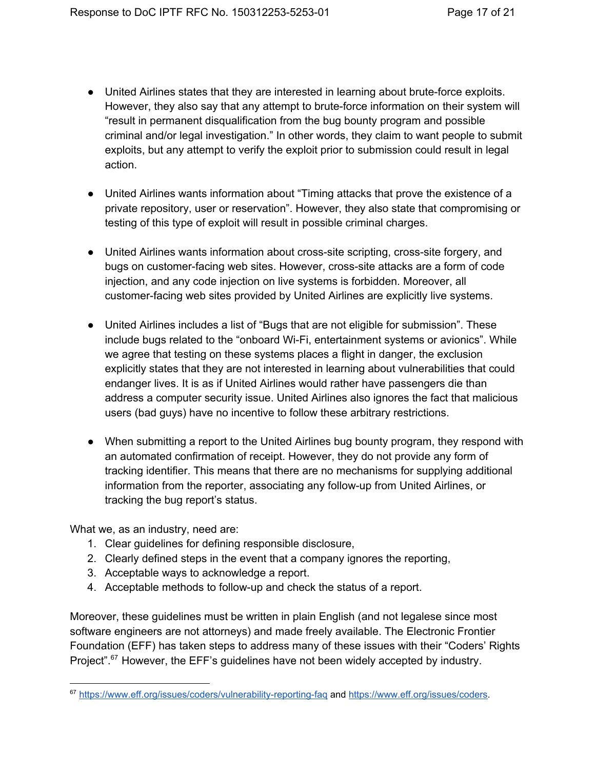- United Airlines states that they are interested in learning about brute-force exploits. However, they also say that any attempt to brute-force information on their system will "result in permanent disqualification from the bug bounty program and possible criminal and/or legal investigation." In other words, they claim to want people to submit exploits, but any attempt to verify the exploit prior to submission could result in legal action.
- United Airlines wants information about "Timing attacks that prove the existence of a private repository, user or reservation". However, they also state that compromising or testing of this type of exploit will result in possible criminal charges.
- United Airlines wants information about cross-site scripting, cross-site forgery, and bugs on customer-facing web sites. However, cross-site attacks are a form of code injection, and any code injection on live systems is forbidden. Moreover, all customerfacing web sites provided by United Airlines are explicitly live systems.
- United Airlines includes a list of "Bugs that are not eligible for submission". These include bugs related to the "onboard Wi-Fi, entertainment systems or avionics". While we agree that testing on these systems places a flight in danger, the exclusion explicitly states that they are not interested in learning about vulnerabilities that could endanger lives. It is as if United Airlines would rather have passengers die than address a computer security issue. United Airlines also ignores the fact that malicious users (bad guys) have no incentive to follow these arbitrary restrictions.
- When submitting a report to the United Airlines bug bounty program, they respond with an automated confirmation of receipt. However, they do not provide any form of tracking identifier. This means that there are no mechanisms for supplying additional information from the reporter, associating any follow-up from United Airlines, or tracking the bug report's status.

What we, as an industry, need are:

- 1. Clear guidelines for defining responsible disclosure,
- 2. Clearly defined steps in the event that a company ignores the reporting,
- 3. Acceptable ways to acknowledge a report.
- 4. Acceptable methods to follow-up and check the status of a report.

Moreover, these guidelines must be written in plain English (and not legalese since most software engineers are not attorneys) and made freely available. The Electronic Frontier Foundation (EFF) has taken steps to address many of these issues with their "Coders' Rights Project".<sup>67</sup> However, the EFF's guidelines have not been widely accepted by industry.

<sup>67</sup> https://www.eff.org/issues/coders/vulnerability-reporting-faq and [https://www.eff.org/issues/coders.](https://www.eff.org/issues/coders)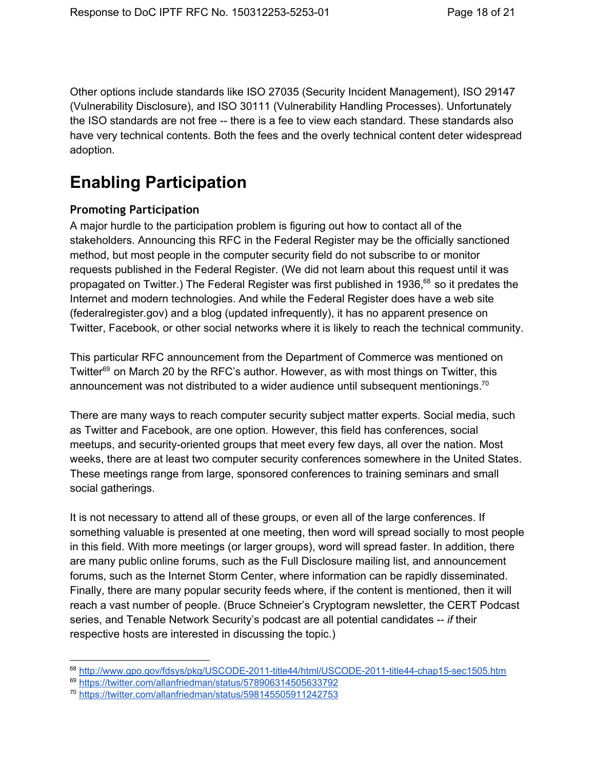Other options include standards like ISO 27035 (Security Incident Management), ISO 29147 (Vulnerability Disclosure), and ISO 30111 (Vulnerability Handling Processes). Unfortunately the ISO standards are not free -- there is a fee to view each standard. These standards also have very technical contents. Both the fees and the overly technical content deter widespread adoption.

# **Enabling Participation**

#### <span id="page-17-0"></span>**Promoting Participation**

A major hurdle to the participation problem is figuring out how to contact all of the stakeholders. Announcing this RFC in the Federal Register may be the officially sanctioned method, but most people in the computer security field do not subscribe to or monitor requests published in the Federal Register. (We did not learn about this request until it was propagated on Twitter.) The Federal Register was first published in 1936,<sup>68</sup> so it predates the Internet and modern technologies. And while the Federal Register does have a web site (federalregister.gov) and a blog (updated infrequently), it has no apparent presence on Twitter, Facebook, or other social networks where it is likely to reach the technical community.

This particular RFC announcement from the Department of Commerce was mentioned on Twitter<sup>69</sup> on March 20 by the RFC's author. However, as with most things on Twitter, this announcement was not distributed to a wider audience until subsequent mentionings.<sup>70</sup>

There are many ways to reach computer security subject matter experts. Social media, such as Twitter and Facebook, are one option. However, this field has conferences, social meetups, and security-oriented groups that meet every few days, all over the nation. Most weeks, there are at least two computer security conferences somewhere in the United States. These meetings range from large, sponsored conferences to training seminars and small social gatherings.

It is not necessary to attend all of these groups, or even all of the large conferences. If something valuable is presented at one meeting, then word will spread socially to most people in this field. With more meetings (or larger groups), word will spread faster. In addition, there are many public online forums, such as the Full Disclosure mailing list, and announcement forums, such as the Internet Storm Center, where information can be rapidly disseminated. Finally, there are many popular security feeds where, if the content is mentioned, then it will reach a vast number of people. (Bruce Schneier's Cryptogram newsletter, the CERT Podcast series, and Tenable Network Security's podcast are all potential candidates *if* their respective hosts are interested in discussing the topic.)

<sup>69</sup> <https://twitter.com/allanfriedman/status/578906314505633792>

<sup>68</sup> http://www.gpo.gov/fdsys/pkg/USCODE-2011-title44/html/USCODE-2011-title44-chap15-sec1505.htm

<sup>70</sup> <https://twitter.com/allanfriedman/status/598145505911242753>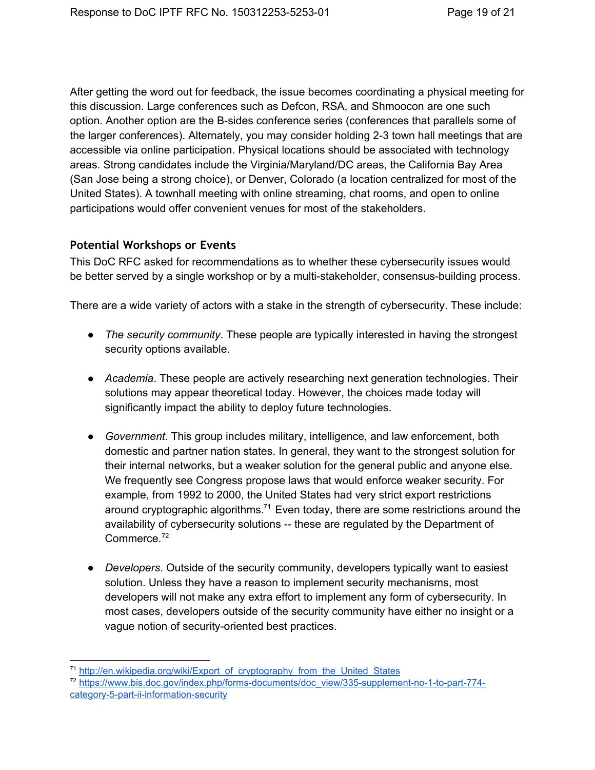After getting the word out for feedback, the issue becomes coordinating a physical meeting for this discussion. Large conferences such as Defcon, RSA, and Shmoocon are one such option. Another option are the B-sides conference series (conferences that parallels some of the larger conferences). Alternately, you may consider holding 23 town hall meetings that are accessible via online participation. Physical locations should be associated with technology areas. Strong candidates include the Virginia/Maryland/DC areas, the California Bay Area (San Jose being a strong choice), or Denver, Colorado (a location centralized for most of the United States). A townhall meeting with online streaming, chat rooms, and open to online participations would offer convenient venues for most of the stakeholders.

#### <span id="page-18-0"></span>**Potential Workshops or Events**

This DoC RFC asked for recommendations as to whether these cybersecurity issues would be better served by a single workshop or by a multi-stakeholder, consensus-building process.

There are a wide variety of actors with a stake in the strength of cybersecurity. These include:

- *The security community*. These people are typically interested in having the strongest security options available.
- *Academia*. These people are actively researching next generation technologies. Their solutions may appear theoretical today. However, the choices made today will significantly impact the ability to deploy future technologies.
- *Government*. This group includes military, intelligence, and law enforcement, both domestic and partner nation states. In general, they want to the strongest solution for their internal networks, but a weaker solution for the general public and anyone else. We frequently see Congress propose laws that would enforce weaker security. For example, from 1992 to 2000, the United States had very strict export restrictions around cryptographic algorithms.<sup>71</sup> Even today, there are some restrictions around the availability of cybersecurity solutions -- these are regulated by the Department of Commerce. 72
- *Developers*. Outside of the security community, developers typically want to easiest solution. Unless they have a reason to implement security mechanisms, most developers will not make any extra effort to implement any form of cybersecurity. In most cases, developers outside of the security community have either no insight or a vague notion of security-oriented best practices.

<sup>71</sup> [http://en.wikipedia.org/wiki/Export\\_of\\_cryptography\\_from\\_the\\_United\\_States](http://en.wikipedia.org/wiki/Export_of_cryptography_from_the_United_States)

<sup>&</sup>lt;sup>72</sup> https://www.bis.doc.gov/index.php/forms-documents/doc\_view/335-supplement-no-1-to-part-774category-5-part-ii-information-security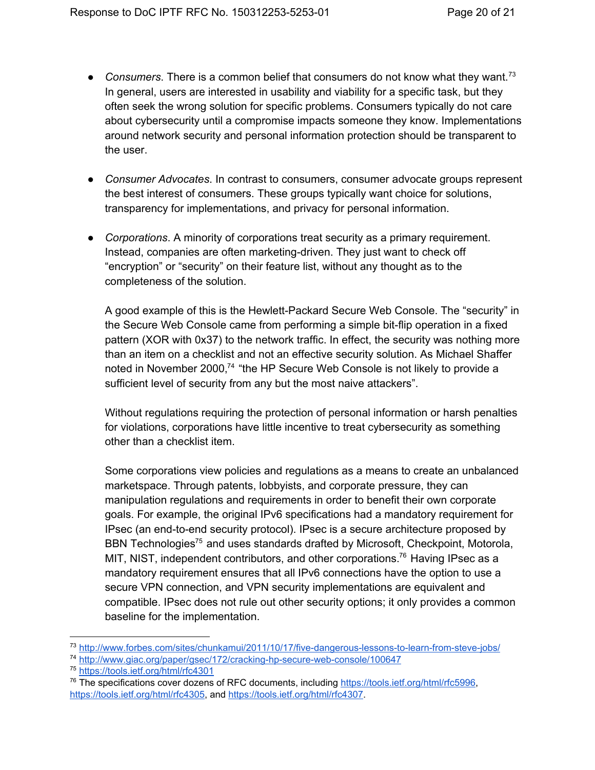- Consumers. There is a common belief that consumers do not know what they want.<sup>73</sup> In general, users are interested in usability and viability for a specific task, but they often seek the wrong solution for specific problems. Consumers typically do not care about cybersecurity until a compromise impacts someone they know. Implementations around network security and personal information protection should be transparent to the user.
- *Consumer Advocates*. In contrast to consumers, consumer advocate groups represent the best interest of consumers. These groups typically want choice for solutions, transparency for implementations, and privacy for personal information.
- *Corporations*. A minority of corporations treat security as a primary requirement. Instead, companies are often marketing-driven. They just want to check off "encryption" or "security" on their feature list, without any thought as to the completeness of the solution.

A good example of this is the Hewlett-Packard Secure Web Console. The "security" in the Secure Web Console came from performing a simple bit-flip operation in a fixed pattern (XOR with 0x37) to the network traffic. In effect, the security was nothing more than an item on a checklist and not an effective security solution. As Michael Shaffer noted in November 2000,<sup>74</sup> "the HP Secure Web Console is not likely to provide a sufficient level of security from any but the most naive attackers".

Without regulations requiring the protection of personal information or harsh penalties for violations, corporations have little incentive to treat cybersecurity as something other than a checklist item.

Some corporations view policies and regulations as a means to create an unbalanced marketspace. Through patents, lobbyists, and corporate pressure, they can manipulation regulations and requirements in order to benefit their own corporate goals. For example, the original IPv6 specifications had a mandatory requirement for IPsec (an end-to-end security protocol). IPsec is a secure architecture proposed by BBN Technologies<sup>75</sup> and uses standards drafted by Microsoft, Checkpoint, Motorola, MIT, NIST, independent contributors, and other corporations.<sup>76</sup> Having IPsec as a mandatory requirement ensures that all IPv6 connections have the option to use a secure VPN connection, and VPN security implementations are equivalent and compatible. IPsec does not rule out other security options; it only provides a common baseline for the implementation.

<sup>74</sup> http://www.giac.org/paper/gsec/172/cracking-hp-secure-web-console/100647

<sup>73</sup> http://www.forbes.com/sites/chunkamui/2011/10/17/five-dangerous-lessons-to-learn-from-steve-jobs/

<sup>75</sup> <https://tools.ietf.org/html/rfc4301>

 $76$  The specifications cover dozens of RFC documents, including [https://tools.ietf.org/html/rfc5996,](https://tools.ietf.org/html/rfc5996) [https://tools.ietf.org/html/rfc4305,](https://tools.ietf.org/html/rfc4305) and [https://tools.ietf.org/html/rfc4307.](https://tools.ietf.org/html/rfc4307)